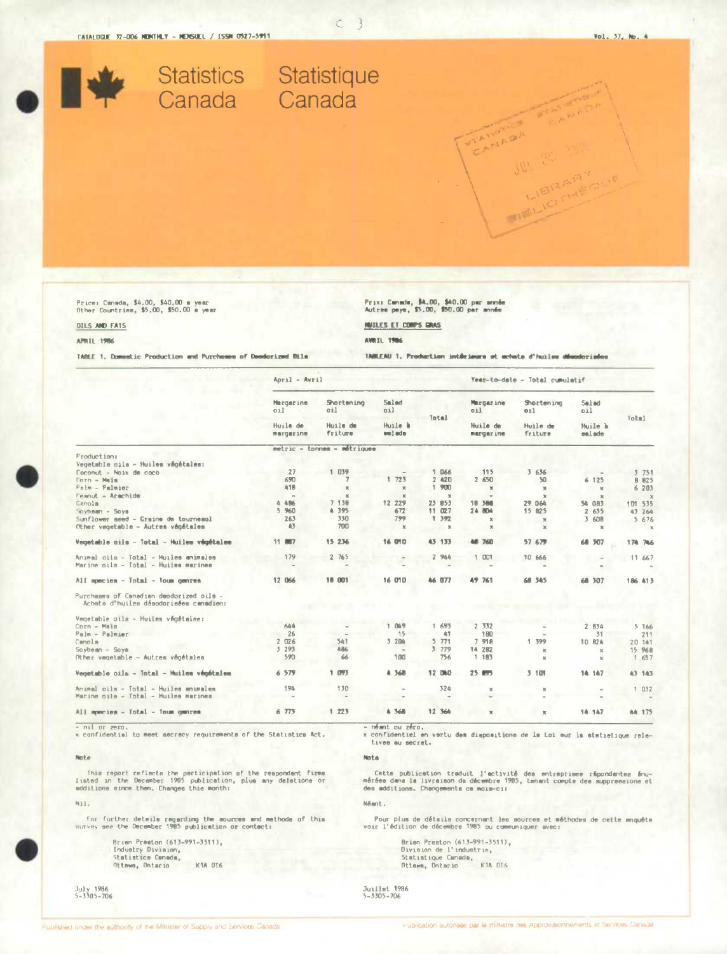Statistics Statistique<br>Canada Canada

Price: Canada, \$4,00, \$40,00 a year<br>Other Countries, \$5,00, \$50,00 a year

# **OILS AND FATS**

Prix: Canada, \$4.00, \$40.00 par année<br>Autres pays, \$5.00, \$90.00 par année HUILES ET COMPS GRAS

**APRIL 1986** 

**AVRIL 1986** 

TABLE 1. Domestic Production and Purchases of Deodorized Dile TABLEAU 1. Production intérieure et achate d'huiles désodorisées

| April - Avril                             |                                                                  |                                                                                  |                                                                                                                                 | Year-to-date - Total cumulatif                                                                  |                                                                                                             |                                                                                                                        |                                                                                                                             |
|-------------------------------------------|------------------------------------------------------------------|----------------------------------------------------------------------------------|---------------------------------------------------------------------------------------------------------------------------------|-------------------------------------------------------------------------------------------------|-------------------------------------------------------------------------------------------------------------|------------------------------------------------------------------------------------------------------------------------|-----------------------------------------------------------------------------------------------------------------------------|
| Mergarine<br>011<br>Huile de<br>margarine | Shortening<br>oil<br>Huile de<br><b>Friture</b>                  | Smlmd<br>011<br>Huile à<br>oulade                                                | Total                                                                                                                           | Margarine<br>oil<br>Huile de<br>margarine                                                       | Shortening<br>011<br>Huile de<br><b>Friture</b>                                                             | Salad<br>011<br>Muile à<br>salade                                                                                      | <b>Total</b>                                                                                                                |
|                                           |                                                                  |                                                                                  |                                                                                                                                 |                                                                                                 |                                                                                                             |                                                                                                                        |                                                                                                                             |
|                                           |                                                                  |                                                                                  |                                                                                                                                 |                                                                                                 |                                                                                                             |                                                                                                                        |                                                                                                                             |
|                                           |                                                                  |                                                                                  |                                                                                                                                 |                                                                                                 |                                                                                                             |                                                                                                                        |                                                                                                                             |
| 27                                        | 1                                                                | $\sim$                                                                           | 1 066                                                                                                                           | 115                                                                                             | 3 636                                                                                                       |                                                                                                                        | 3751                                                                                                                        |
| 690                                       |                                                                  |                                                                                  | 2 420                                                                                                                           | 2 650                                                                                           | 50                                                                                                          | 6 125                                                                                                                  | 8 8 2 5                                                                                                                     |
| 418                                       | ×                                                                |                                                                                  | 1.900                                                                                                                           | $\mathbf x$                                                                                     |                                                                                                             |                                                                                                                        | 6 203                                                                                                                       |
| $\alpha$                                  |                                                                  |                                                                                  |                                                                                                                                 | $\rightarrow$                                                                                   |                                                                                                             |                                                                                                                        | $\mathcal{X}$                                                                                                               |
|                                           |                                                                  |                                                                                  |                                                                                                                                 |                                                                                                 |                                                                                                             |                                                                                                                        | 101 535                                                                                                                     |
|                                           |                                                                  |                                                                                  |                                                                                                                                 |                                                                                                 |                                                                                                             |                                                                                                                        | 43 264                                                                                                                      |
|                                           |                                                                  |                                                                                  |                                                                                                                                 |                                                                                                 |                                                                                                             |                                                                                                                        | 5 676                                                                                                                       |
|                                           |                                                                  |                                                                                  |                                                                                                                                 |                                                                                                 |                                                                                                             |                                                                                                                        |                                                                                                                             |
|                                           |                                                                  |                                                                                  |                                                                                                                                 |                                                                                                 |                                                                                                             |                                                                                                                        | $\mathbf x$                                                                                                                 |
| 11 887                                    | 15 236                                                           | 16 010                                                                           | 43 133                                                                                                                          | 48 760                                                                                          | 57 679                                                                                                      | 68 307                                                                                                                 | 174 746                                                                                                                     |
|                                           |                                                                  |                                                                                  |                                                                                                                                 |                                                                                                 |                                                                                                             |                                                                                                                        | 11 667                                                                                                                      |
|                                           |                                                                  |                                                                                  |                                                                                                                                 |                                                                                                 |                                                                                                             |                                                                                                                        |                                                                                                                             |
| 12 066                                    | 18 001                                                           | 16 010                                                                           | 46 077                                                                                                                          | <b>A9 761</b>                                                                                   | 68 345                                                                                                      | 68 307                                                                                                                 | 186 413                                                                                                                     |
|                                           |                                                                  |                                                                                  |                                                                                                                                 |                                                                                                 |                                                                                                             |                                                                                                                        |                                                                                                                             |
|                                           |                                                                  |                                                                                  |                                                                                                                                 |                                                                                                 |                                                                                                             |                                                                                                                        |                                                                                                                             |
| 644                                       |                                                                  | $\mathbf{1}$<br>049                                                              | 1 693                                                                                                                           |                                                                                                 |                                                                                                             |                                                                                                                        | 5.166                                                                                                                       |
|                                           |                                                                  |                                                                                  |                                                                                                                                 |                                                                                                 |                                                                                                             |                                                                                                                        | 211                                                                                                                         |
|                                           |                                                                  |                                                                                  |                                                                                                                                 |                                                                                                 |                                                                                                             |                                                                                                                        | 20 141                                                                                                                      |
|                                           |                                                                  | $\sim$                                                                           |                                                                                                                                 |                                                                                                 |                                                                                                             |                                                                                                                        | 15 968                                                                                                                      |
|                                           |                                                                  |                                                                                  |                                                                                                                                 |                                                                                                 |                                                                                                             |                                                                                                                        | 1 657                                                                                                                       |
|                                           |                                                                  |                                                                                  |                                                                                                                                 |                                                                                                 |                                                                                                             |                                                                                                                        |                                                                                                                             |
| 6 579                                     | 1 093                                                            | 4 368                                                                            | 12 040                                                                                                                          | 25 895                                                                                          | 3 101                                                                                                       | 14 147                                                                                                                 | 43 143                                                                                                                      |
| 194                                       | 130                                                              | $\sim$                                                                           | 324                                                                                                                             | ×                                                                                               | X.                                                                                                          |                                                                                                                        | 1032                                                                                                                        |
| $\sim$                                    |                                                                  |                                                                                  |                                                                                                                                 |                                                                                                 |                                                                                                             |                                                                                                                        |                                                                                                                             |
| 6 773                                     | 1223                                                             | A 368                                                                            | 12 364                                                                                                                          | $\mathbb{R}$                                                                                    | $\mathbf{x}$                                                                                                | 14 147                                                                                                                 | AA 175                                                                                                                      |
|                                           | 4486<br>5 960<br>263<br>43<br>179<br>26<br>2 026<br>3 293<br>590 | 039<br>$\mathbb{R}$<br>7 138<br>4 395<br>330<br>700<br>2 765<br>541<br>486<br>66 | metric - tonnes - métriques<br>1723<br>$\mathbb R$<br>$\mathbb{R}$<br>12 229<br>672<br>799<br>$\mathbf x$<br>15<br>3 204<br>100 | $\mathbf x$<br>23 853<br>11 027<br>1 392<br>$\mathbf{x}$<br>2 944<br>41<br>5771<br>3 779<br>756 | 18<br>388<br>24 804<br>$\mathbb X$<br>$\mathbb R$<br>1 001<br>2 3 3 2<br>180<br>918<br>7<br>14 282<br>1 183 | $\mathbb{M}$<br>$\mathbf{x}$<br>29 064<br>15 825<br>$\mathbb R$<br>$\mathbf{M}$<br>10 666<br>1 399<br>$\mathbb X$<br>ĸ | $\mathbf{M}$<br>$\mathbf{M}$<br>54 083<br>2 635<br>3 608<br>$\mathbb{M}$<br>2 834<br>31<br>10 824<br>$\chi$<br>$\mathbf{x}$ |

- nil or zero.<br>x confidential to meet secrecy requirements of the Statistics Act.

### Note

This report reflects the participation of the respondent firms<br>listed in the December 1985 publication, plus any delstione or<br>additions eince then, Changes this month:

Nil.

For further deteils regarding the sources and methods of this survey see the December 1985 publication or contact:

Brian Preston (613-991-3511). Brian Freeton (D)<br>Industry Division,<br>Statistice Canada, Attewa, Ontario K1A 016 - néant ou zéro.<br>x confidentiel en vartu des dispositions de la Loi eur la stetietique rele-<br>tivee eu secrat.

Nota

Cette publication traduit l'eclivité des entreprises répondantes énu-<br>méréee dans la livraison da décembre 1985, tenant compte des suppressions et<br>des additions. Changementa ce mois-ci:

Néant.

Pour plus de détails concernant les sources et méthodes de cette enquête<br>voir l'édition de décembre 1985 ou communiquer avec:

Brian Preston (613-991-3511),<br>Division de l'industrie,<br>Statistique Canada,<br>Ottawa, Ontario – KJA OT6

Juillet 1986<br>5-3305-706

July 1986<br>5-3305-706